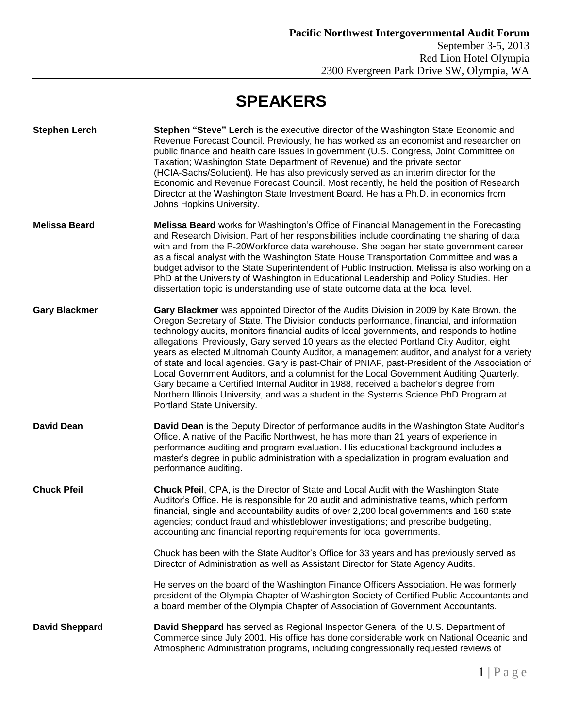## **SPEAKERS**

| <b>Stephen Lerch</b>  | Stephen "Steve" Lerch is the executive director of the Washington State Economic and<br>Revenue Forecast Council. Previously, he has worked as an economist and researcher on<br>public finance and health care issues in government (U.S. Congress, Joint Committee on<br>Taxation; Washington State Department of Revenue) and the private sector<br>(HCIA-Sachs/Solucient). He has also previously served as an interim director for the<br>Economic and Revenue Forecast Council. Most recently, he held the position of Research<br>Director at the Washington State Investment Board. He has a Ph.D. in economics from<br>Johns Hopkins University.                                                                                                                                                                                                                              |
|-----------------------|----------------------------------------------------------------------------------------------------------------------------------------------------------------------------------------------------------------------------------------------------------------------------------------------------------------------------------------------------------------------------------------------------------------------------------------------------------------------------------------------------------------------------------------------------------------------------------------------------------------------------------------------------------------------------------------------------------------------------------------------------------------------------------------------------------------------------------------------------------------------------------------|
| <b>Melissa Beard</b>  | <b>Melissa Beard</b> works for Washington's Office of Financial Management in the Forecasting<br>and Research Division. Part of her responsibilities include coordinating the sharing of data<br>with and from the P-20Workforce data warehouse. She began her state government career<br>as a fiscal analyst with the Washington State House Transportation Committee and was a<br>budget advisor to the State Superintendent of Public Instruction. Melissa is also working on a<br>PhD at the University of Washington in Educational Leadership and Policy Studies. Her<br>dissertation topic is understanding use of state outcome data at the local level.                                                                                                                                                                                                                       |
| <b>Gary Blackmer</b>  | Gary Blackmer was appointed Director of the Audits Division in 2009 by Kate Brown, the<br>Oregon Secretary of State. The Division conducts performance, financial, and information<br>technology audits, monitors financial audits of local governments, and responds to hotline<br>allegations. Previously, Gary served 10 years as the elected Portland City Auditor, eight<br>years as elected Multnomah County Auditor, a management auditor, and analyst for a variety<br>of state and local agencies. Gary is past-Chair of PNIAF, past-President of the Association of<br>Local Government Auditors, and a columnist for the Local Government Auditing Quarterly.<br>Gary became a Certified Internal Auditor in 1988, received a bachelor's degree from<br>Northern Illinois University, and was a student in the Systems Science PhD Program at<br>Portland State University. |
| <b>David Dean</b>     | David Dean is the Deputy Director of performance audits in the Washington State Auditor's<br>Office. A native of the Pacific Northwest, he has more than 21 years of experience in<br>performance auditing and program evaluation. His educational background includes a<br>master's degree in public administration with a specialization in program evaluation and<br>performance auditing.                                                                                                                                                                                                                                                                                                                                                                                                                                                                                          |
| <b>Chuck Pfeil</b>    | Chuck Pfeil, CPA, is the Director of State and Local Audit with the Washington State<br>Auditor's Office. He is responsible for 20 audit and administrative teams, which perform<br>financial, single and accountability audits of over 2,200 local governments and 160 state<br>agencies; conduct fraud and whistleblower investigations; and prescribe budgeting,<br>accounting and financial reporting requirements for local governments.                                                                                                                                                                                                                                                                                                                                                                                                                                          |
|                       | Chuck has been with the State Auditor's Office for 33 years and has previously served as<br>Director of Administration as well as Assistant Director for State Agency Audits.                                                                                                                                                                                                                                                                                                                                                                                                                                                                                                                                                                                                                                                                                                          |
|                       | He serves on the board of the Washington Finance Officers Association. He was formerly<br>president of the Olympia Chapter of Washington Society of Certified Public Accountants and<br>a board member of the Olympia Chapter of Association of Government Accountants.                                                                                                                                                                                                                                                                                                                                                                                                                                                                                                                                                                                                                |
| <b>David Sheppard</b> | David Sheppard has served as Regional Inspector General of the U.S. Department of<br>Commerce since July 2001. His office has done considerable work on National Oceanic and<br>Atmospheric Administration programs, including congressionally requested reviews of                                                                                                                                                                                                                                                                                                                                                                                                                                                                                                                                                                                                                    |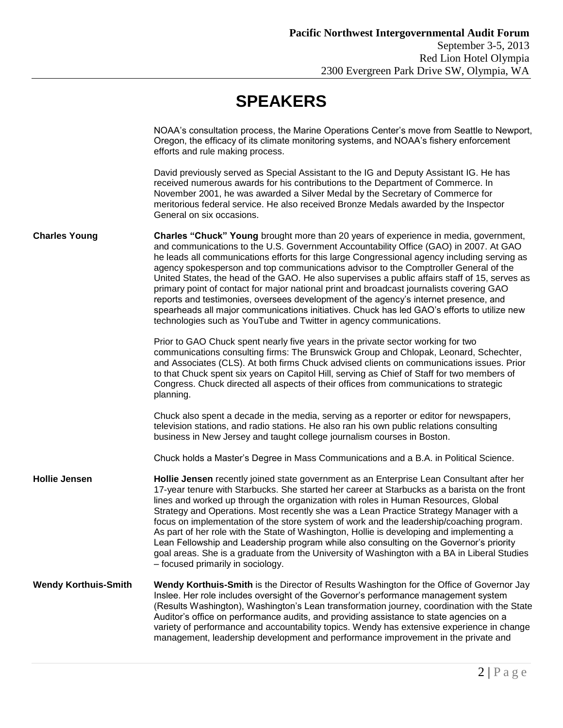|                             | NOAA's consultation process, the Marine Operations Center's move from Seattle to Newport,<br>Oregon, the efficacy of its climate monitoring systems, and NOAA's fishery enforcement<br>efforts and rule making process.                                                                                                                                                                                                                                                                                                                                                                                                                                                                                                                                                                                                          |
|-----------------------------|----------------------------------------------------------------------------------------------------------------------------------------------------------------------------------------------------------------------------------------------------------------------------------------------------------------------------------------------------------------------------------------------------------------------------------------------------------------------------------------------------------------------------------------------------------------------------------------------------------------------------------------------------------------------------------------------------------------------------------------------------------------------------------------------------------------------------------|
|                             | David previously served as Special Assistant to the IG and Deputy Assistant IG. He has<br>received numerous awards for his contributions to the Department of Commerce. In<br>November 2001, he was awarded a Silver Medal by the Secretary of Commerce for<br>meritorious federal service. He also received Bronze Medals awarded by the Inspector<br>General on six occasions.                                                                                                                                                                                                                                                                                                                                                                                                                                                 |
| <b>Charles Young</b>        | Charles "Chuck" Young brought more than 20 years of experience in media, government,<br>and communications to the U.S. Government Accountability Office (GAO) in 2007. At GAO<br>he leads all communications efforts for this large Congressional agency including serving as<br>agency spokesperson and top communications advisor to the Comptroller General of the<br>United States, the head of the GAO. He also supervises a public affairs staff of 15, serves as<br>primary point of contact for major national print and broadcast journalists covering GAO<br>reports and testimonies, oversees development of the agency's internet presence, and<br>spearheads all major communications initiatives. Chuck has led GAO's efforts to utilize new<br>technologies such as YouTube and Twitter in agency communications. |
|                             | Prior to GAO Chuck spent nearly five years in the private sector working for two<br>communications consulting firms: The Brunswick Group and Chlopak, Leonard, Schechter,<br>and Associates (CLS). At both firms Chuck advised clients on communications issues. Prior<br>to that Chuck spent six years on Capitol Hill, serving as Chief of Staff for two members of<br>Congress. Chuck directed all aspects of their offices from communications to strategic<br>planning.                                                                                                                                                                                                                                                                                                                                                     |
|                             | Chuck also spent a decade in the media, serving as a reporter or editor for newspapers,<br>television stations, and radio stations. He also ran his own public relations consulting<br>business in New Jersey and taught college journalism courses in Boston.                                                                                                                                                                                                                                                                                                                                                                                                                                                                                                                                                                   |
|                             | Chuck holds a Master's Degree in Mass Communications and a B.A. in Political Science.                                                                                                                                                                                                                                                                                                                                                                                                                                                                                                                                                                                                                                                                                                                                            |
| <b>Hollie Jensen</b>        | Hollie Jensen recently joined state government as an Enterprise Lean Consultant after her<br>17-year tenure with Starbucks. She started her career at Starbucks as a barista on the front<br>lines and worked up through the organization with roles in Human Resources, Global<br>Strategy and Operations. Most recently she was a Lean Practice Strategy Manager with a<br>focus on implementation of the store system of work and the leadership/coaching program.<br>As part of her role with the State of Washington, Hollie is developing and implementing a<br>Lean Fellowship and Leadership program while also consulting on the Governor's priority<br>goal areas. She is a graduate from the University of Washington with a BA in Liberal Studies<br>- focused primarily in sociology.                               |
| <b>Wendy Korthuis-Smith</b> | Wendy Korthuis-Smith is the Director of Results Washington for the Office of Governor Jay<br>Inslee. Her role includes oversight of the Governor's performance management system<br>(Results Washington), Washington's Lean transformation journey, coordination with the State<br>Auditor's office on performance audits, and providing assistance to state agencies on a<br>variety of performance and accountability topics. Wendy has extensive experience in change<br>management, leadership development and performance improvement in the private and                                                                                                                                                                                                                                                                    |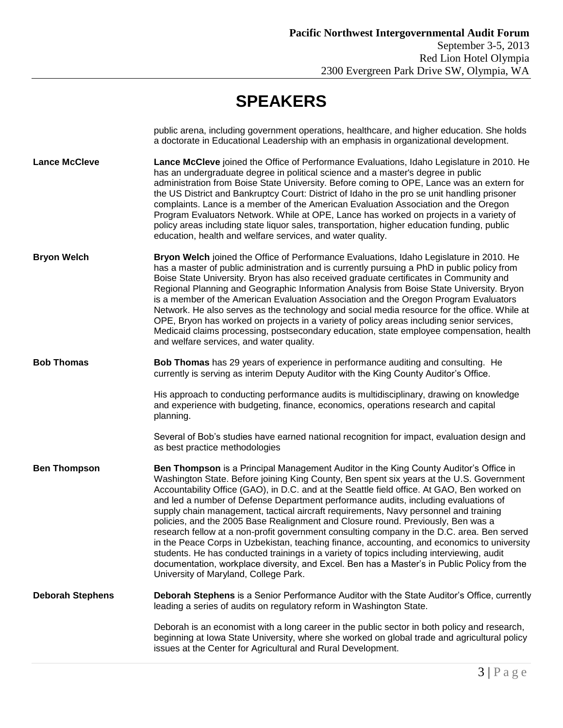## **SPEAKERS**

|                         | public arena, including government operations, healthcare, and higher education. She holds<br>a doctorate in Educational Leadership with an emphasis in organizational development.                                                                                                                                                                                                                                                                                                                                                                                                                                                                                                                                                                                                                                                                                                                                                                                                   |
|-------------------------|---------------------------------------------------------------------------------------------------------------------------------------------------------------------------------------------------------------------------------------------------------------------------------------------------------------------------------------------------------------------------------------------------------------------------------------------------------------------------------------------------------------------------------------------------------------------------------------------------------------------------------------------------------------------------------------------------------------------------------------------------------------------------------------------------------------------------------------------------------------------------------------------------------------------------------------------------------------------------------------|
| <b>Lance McCleve</b>    | Lance McCleve joined the Office of Performance Evaluations, Idaho Legislature in 2010. He<br>has an undergraduate degree in political science and a master's degree in public<br>administration from Boise State University. Before coming to OPE, Lance was an extern for<br>the US District and Bankruptcy Court: District of Idaho in the pro se unit handling prisoner<br>complaints. Lance is a member of the American Evaluation Association and the Oregon<br>Program Evaluators Network. While at OPE, Lance has worked on projects in a variety of<br>policy areas including state liquor sales, transportation, higher education funding, public<br>education, health and welfare services, and water quality.                                                                                                                                                                                                                                                              |
| <b>Bryon Welch</b>      | Bryon Welch joined the Office of Performance Evaluations, Idaho Legislature in 2010. He<br>has a master of public administration and is currently pursuing a PhD in public policy from<br>Boise State University. Bryon has also received graduate certificates in Community and<br>Regional Planning and Geographic Information Analysis from Boise State University. Bryon<br>is a member of the American Evaluation Association and the Oregon Program Evaluators<br>Network. He also serves as the technology and social media resource for the office. While at<br>OPE, Bryon has worked on projects in a variety of policy areas including senior services,<br>Medicaid claims processing, postsecondary education, state employee compensation, health<br>and welfare services, and water quality.                                                                                                                                                                             |
| <b>Bob Thomas</b>       | Bob Thomas has 29 years of experience in performance auditing and consulting. He<br>currently is serving as interim Deputy Auditor with the King County Auditor's Office.                                                                                                                                                                                                                                                                                                                                                                                                                                                                                                                                                                                                                                                                                                                                                                                                             |
|                         | His approach to conducting performance audits is multidisciplinary, drawing on knowledge<br>and experience with budgeting, finance, economics, operations research and capital<br>planning.                                                                                                                                                                                                                                                                                                                                                                                                                                                                                                                                                                                                                                                                                                                                                                                           |
|                         | Several of Bob's studies have earned national recognition for impact, evaluation design and<br>as best practice methodologies                                                                                                                                                                                                                                                                                                                                                                                                                                                                                                                                                                                                                                                                                                                                                                                                                                                         |
| <b>Ben Thompson</b>     | Ben Thompson is a Principal Management Auditor in the King County Auditor's Office in<br>Washington State. Before joining King County, Ben spent six years at the U.S. Government<br>Accountability Office (GAO), in D.C. and at the Seattle field office. At GAO, Ben worked on<br>and led a number of Defense Department performance audits, including evaluations of<br>supply chain management, tactical aircraft requirements, Navy personnel and training<br>policies, and the 2005 Base Realignment and Closure round. Previously, Ben was a<br>research fellow at a non-profit government consulting company in the D.C. area. Ben served<br>in the Peace Corps in Uzbekistan, teaching finance, accounting, and economics to university<br>students. He has conducted trainings in a variety of topics including interviewing, audit<br>documentation, workplace diversity, and Excel. Ben has a Master's in Public Policy from the<br>University of Maryland, College Park. |
| <b>Deborah Stephens</b> | Deborah Stephens is a Senior Performance Auditor with the State Auditor's Office, currently<br>leading a series of audits on regulatory reform in Washington State.                                                                                                                                                                                                                                                                                                                                                                                                                                                                                                                                                                                                                                                                                                                                                                                                                   |
|                         | Deborah is an economist with a long career in the public sector in both policy and research,<br>beginning at Iowa State University, where she worked on global trade and agricultural policy<br>issues at the Center for Agricultural and Rural Development.                                                                                                                                                                                                                                                                                                                                                                                                                                                                                                                                                                                                                                                                                                                          |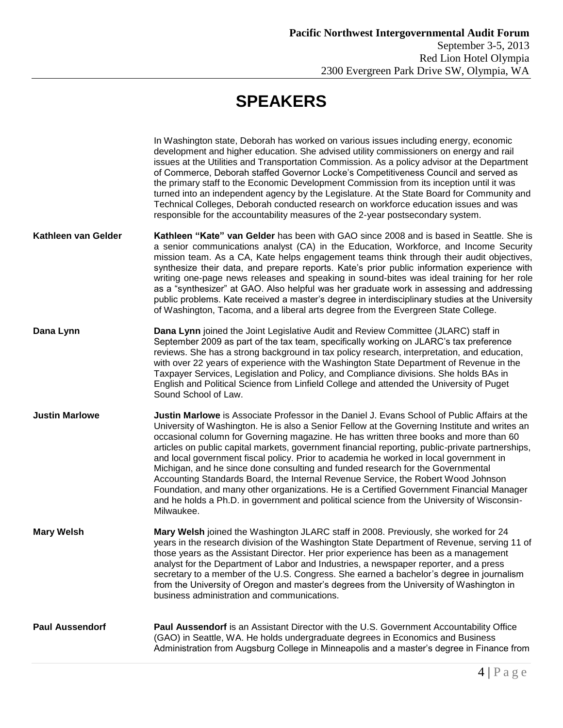## **SPEAKERS**

|                        | In Washington state, Deborah has worked on various issues including energy, economic<br>development and higher education. She advised utility commissioners on energy and rail<br>issues at the Utilities and Transportation Commission. As a policy advisor at the Department<br>of Commerce, Deborah staffed Governor Locke's Competitiveness Council and served as<br>the primary staff to the Economic Development Commission from its inception until it was<br>turned into an independent agency by the Legislature. At the State Board for Community and<br>Technical Colleges, Deborah conducted research on workforce education issues and was<br>responsible for the accountability measures of the 2-year postsecondary system.                                                                                                                           |
|------------------------|----------------------------------------------------------------------------------------------------------------------------------------------------------------------------------------------------------------------------------------------------------------------------------------------------------------------------------------------------------------------------------------------------------------------------------------------------------------------------------------------------------------------------------------------------------------------------------------------------------------------------------------------------------------------------------------------------------------------------------------------------------------------------------------------------------------------------------------------------------------------|
| Kathleen van Gelder    | Kathleen "Kate" van Gelder has been with GAO since 2008 and is based in Seattle. She is<br>a senior communications analyst (CA) in the Education, Workforce, and Income Security<br>mission team. As a CA, Kate helps engagement teams think through their audit objectives,<br>synthesize their data, and prepare reports. Kate's prior public information experience with<br>writing one-page news releases and speaking in sound-bites was ideal training for her role<br>as a "synthesizer" at GAO. Also helpful was her graduate work in assessing and addressing<br>public problems. Kate received a master's degree in interdisciplinary studies at the University<br>of Washington, Tacoma, and a liberal arts degree from the Evergreen State College.                                                                                                      |
| Dana Lynn              | Dana Lynn joined the Joint Legislative Audit and Review Committee (JLARC) staff in<br>September 2009 as part of the tax team, specifically working on JLARC's tax preference<br>reviews. She has a strong background in tax policy research, interpretation, and education,<br>with over 22 years of experience with the Washington State Department of Revenue in the<br>Taxpayer Services, Legislation and Policy, and Compliance divisions. She holds BAs in<br>English and Political Science from Linfield College and attended the University of Puget<br>Sound School of Law.                                                                                                                                                                                                                                                                                  |
| <b>Justin Marlowe</b>  | Justin Marlowe is Associate Professor in the Daniel J. Evans School of Public Affairs at the<br>University of Washington. He is also a Senior Fellow at the Governing Institute and writes an<br>occasional column for Governing magazine. He has written three books and more than 60<br>articles on public capital markets, government financial reporting, public-private partnerships,<br>and local government fiscal policy. Prior to academia he worked in local government in<br>Michigan, and he since done consulting and funded research for the Governmental<br>Accounting Standards Board, the Internal Revenue Service, the Robert Wood Johnson<br>Foundation, and many other organizations. He is a Certified Government Financial Manager<br>and he holds a Ph.D. in government and political science from the University of Wisconsin-<br>Milwaukee. |
| <b>Mary Welsh</b>      | Mary Welsh joined the Washington JLARC staff in 2008. Previously, she worked for 24<br>years in the research division of the Washington State Department of Revenue, serving 11 of<br>those years as the Assistant Director. Her prior experience has been as a management<br>analyst for the Department of Labor and Industries, a newspaper reporter, and a press<br>secretary to a member of the U.S. Congress. She earned a bachelor's degree in journalism<br>from the University of Oregon and master's degrees from the University of Washington in<br>business administration and communications.                                                                                                                                                                                                                                                            |
| <b>Paul Aussendorf</b> | Paul Aussendorf is an Assistant Director with the U.S. Government Accountability Office<br>(GAO) in Seattle, WA. He holds undergraduate degrees in Economics and Business<br>Administration from Augsburg College in Minneapolis and a master's degree in Finance from                                                                                                                                                                                                                                                                                                                                                                                                                                                                                                                                                                                               |